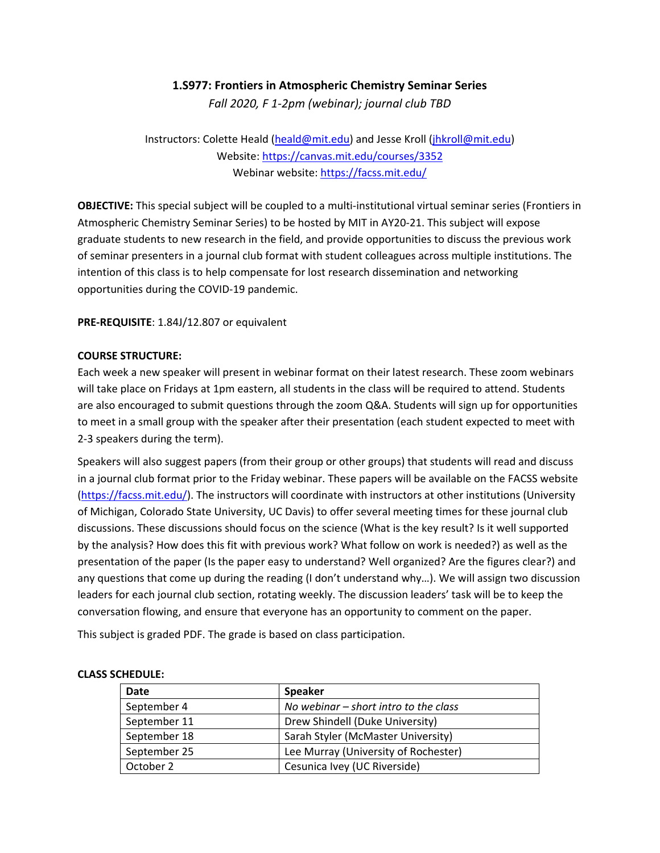## **1.S977: Frontiers in Atmospheric Chemistry Seminar Series**

*Fall 2020, F 1‐2pm (webinar); journal club TBD*

Instructors: Colette Heald (heald@mit.edu) and Jesse Kroll (jhkroll@mit.edu) Website: https://canvas.mit.edu/courses/3352 Webinar website: https://facss.mit.edu/

**OBJECTIVE:** This special subject will be coupled to a multi-institutional virtual seminar series (Frontiers in Atmospheric Chemistry Seminar Series) to be hosted by MIT in AY20‐21. This subject will expose graduate students to new research in the field, and provide opportunities to discuss the previous work of seminar presenters in a journal club format with student colleagues across multiple institutions. The intention of this class is to help compensate for lost research dissemination and networking opportunities during the COVID‐19 pandemic.

## **PRE‐REQUISITE**: 1.84J/12.807 or equivalent

## **COURSE STRUCTURE:**

Each week a new speaker will present in webinar format on their latest research. These zoom webinars will take place on Fridays at 1pm eastern, all students in the class will be required to attend. Students are also encouraged to submit questions through the zoom Q&A. Students will sign up for opportunities to meet in a small group with the speaker after their presentation (each student expected to meet with 2‐3 speakers during the term).

Speakers will also suggest papers (from their group or other groups) that students will read and discuss in a journal club format prior to the Friday webinar. These papers will be available on the FACSS website (https://facss.mit.edu/). The instructors will coordinate with instructors at other institutions (University of Michigan, Colorado State University, UC Davis) to offer several meeting times for these journal club discussions. These discussions should focus on the science (What is the key result? Is it well supported by the analysis? How does this fit with previous work? What follow on work is needed?) as well as the presentation of the paper (Is the paper easy to understand? Well organized? Are the figures clear?) and any questions that come up during the reading (I don't understand why...). We will assign two discussion leaders for each journal club section, rotating weekly. The discussion leaders' task will be to keep the conversation flowing, and ensure that everyone has an opportunity to comment on the paper.

This subject is graded PDF. The grade is based on class participation.

| Date         | <b>Speaker</b>                          |
|--------------|-----------------------------------------|
| September 4  | No webinar $-$ short intro to the class |
| September 11 | Drew Shindell (Duke University)         |
| September 18 | Sarah Styler (McMaster University)      |
| September 25 | Lee Murray (University of Rochester)    |
| October 2    | Cesunica Ivey (UC Riverside)            |

## **CLASS SCHEDULE:**